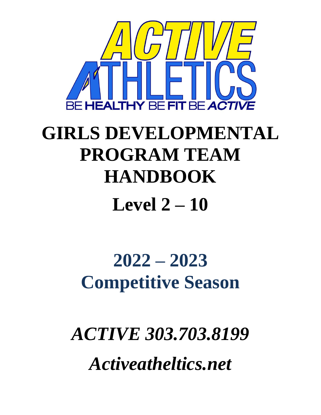

# **GIRLS DEVELOPMENTAL PROGRAM TEAM HANDBOOK**

## **Level 2 – 10**

## **2022 – 2023 Competitive Season**

*ACTIVE 303.703.8199 Activeatheltics.net*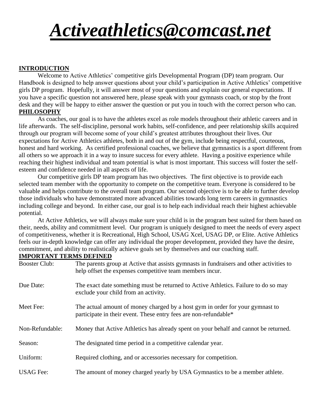## *[Activeathletics@comcast.net](mailto:Activeathletics@comcast.net)*

## **INTRODUCTION**

Welcome to Active Athletics' competitive girls Developmental Program (DP) team program. Our Handbook is designed to help answer questions about your child's participation in Active Athletics' competitive girls DP program. Hopefully, it will answer most of your questions and explain our general expectations. If you have a specific question not answered here, please speak with your gymnasts coach, or stop by the front desk and they will be happy to either answer the question or put you in touch with the correct person who can. **PHILOSOPHY**

 As coaches, our goal is to have the athletes excel as role models throughout their athletic careers and in life afterwards. The self-discipline, personal work habits, self-confidence, and peer relationship skills acquired through our program will become some of your child's greatest attributes throughout their lives. Our expectations for Active Athletics athletes, both in and out of the gym, include being respectful, courteous, honest and hard working. As certified professional coaches, we believe that gymnastics is a sport different from all others so we approach it in a way to insure success for every athlete. Having a positive experience while reaching their highest individual and team potential is what is most important. This success will foster the selfesteem and confidence needed in all aspects of life.

Our competitive girls DP team program has two objectives. The first objective is to provide each selected team member with the opportunity to compete on the competitive team. Everyone is considered to be valuable and helps contribute to the overall team program. Our second objective is to be able to further develop those individuals who have demonstrated more advanced abilities towards long term careers in gymnastics including college and beyond. In either case, our goal is to help each individual reach their highest achievable potential.

At Active Athletics, we will always make sure your child is in the program best suited for them based on their, needs, ability and commitment level. Our program is uniquely designed to meet the needs of every aspect of competitiveness, whether it is Recreational, High School, USAG Xcel, USAG DP, or Elite. Active Athletics feels our in-depth knowledge can offer any individual the proper development, provided they have the desire, commitment, and ability to realistically achieve goals set by themselves and our coaching staff.

#### **IMPORTANT TERMS DEFINED**

| <b>Booster Club:</b> | The parents group at Active that assists gymnasts in fundraisers and other activities to<br>help offset the expenses competitive team members incur. |  |
|----------------------|------------------------------------------------------------------------------------------------------------------------------------------------------|--|
| Due Date:            | The exact date something must be returned to Active Athletics. Failure to do so may<br>exclude your child from an activity.                          |  |
| Meet Fee:            | The actual amount of money charged by a host gym in order for your gymnast to<br>participate in their event. These entry fees are non-refundable*    |  |
| Non-Refundable:      | Money that Active Athletics has already spent on your behalf and cannot be returned.                                                                 |  |
| Season:              | The designated time period in a competitive calendar year.                                                                                           |  |
| Uniform:             | Required clothing, and or accessories necessary for competition.                                                                                     |  |
| <b>USAG</b> Fee:     | The amount of money charged yearly by USA Gymnastics to be a member athlete.                                                                         |  |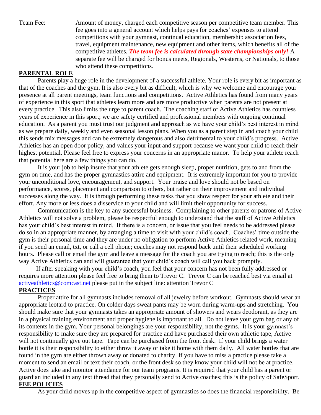Team Fee: Amount of money, charged each competitive season per competitive team member. This fee goes into a general account which helps pays for coaches' expenses to attend competitions with your gymnast, continual education, membership association fees, travel, equipment maintenance, new equipment and other items, which benefits all of the competitive athletes. *The team fee is calculated through state championships only!* A separate fee will be charged for bonus meets, Regionals, Westerns, or Nationals, to those who attend these competitions.

### **PARENTAL ROLE**

Parents play a huge role in the development of a successful athlete. Your role is every bit as important as that of the coaches and the gym. It is also every bit as difficult, which is why we welcome and encourage your presence at all parent meetings, team functions and competitions. Active Athletics has found from many years of experience in this sport that athletes learn more and are more productive when parents are not present at every practice. This also limits the urge to parent coach. The coaching staff of Active Athletics has countless years of experience in this sport; we are safety certified and professional members with ongoing continual education. As a parent you must trust our judgment and approach as we have your child's best interest in mind as we prepare daily, weekly and even seasonal lesson plans. When you as a parent step in and coach your child this sends mix messages and can be extremely dangerous and also detrimental to your child's progress. Active Athletics has an open door policy, and values your input and support because we want your child to reach their highest potential. Please feel free to express your concerns in an appropriate manor. To help your athlete reach that potential here are a few things you can do.

It is your job to help insure that your athlete gets enough sleep, proper nutrition, gets to and from the gym on time, and has the proper gymnastics attire and equipment. It is extremely important for you to provide your unconditional love, encouragement, and support. Your praise and love should not be based on performance, scores, placement and comparison to others, but rather on their improvement and individual successes along the way. It is through performing these tasks that you show respect for your athlete and their effort. Any more or less does a disservice to your child and will limit their opportunity for success.

Communication is the key to any successful business. Complaining to other parents or patrons of Active Athletics will not solve a problem, please be respectful enough to understand that the staff of Active Athletics has your child's best interest in mind. If there is a concern, or issue that you feel needs to be addressed please do so in an appropriate manner, by arranging a time to visit with your child's coach. Coaches' time outside the gym is their personal time and they are under no obligation to perform Active Athletics related work, meaning if you send an email, txt, or call a cell phone; coaches may not respond back until their scheduled working hours. Please call or email the gym and leave a message for the coach you are trying to reach; this is the only way Active Athletics can and will guarantee that your child's coach will call you back promptly.

 If after speaking with your child's coach, you feel that your concern has not been fully addressed or requires more attention please feel free to bring them to Trevor C. Trevor C can be reached best via email at [activeathletics@comcast.net](mailto:activeathletics@comcast.net) please put in the subject line: attention Trevor C

#### **PRACTICES**

Proper attire for all gymnasts includes removal of all jewelry before workout. Gymnasts should wear an appropriate leotard to practice. On colder days sweat pants may be worn during warm-ups and stretching. You should make sure that your gymnasts takes an appropriate amount of showers and wears deodorant, as they are in a physical training environment and proper hygiene is important to all. Do not leave your gym bag or any of its contents in the gym. Your personal belongings are your responsibility, not the gyms. It is your gymnast's responsibility to make sure they are prepared for practice and have purchased their own athletic tape, Active will not continually give out tape. Tape can be purchased from the front desk. If your child brings a water bottle it is their responsibility to either throw it away or take it home with them daily. All water bottles that are found in the gym are either thrown away or donated to charity. If you have to miss a practice please take a moment to send an email or text their coach, or the front desk so they know your child will not be at practice. Active does take and monitor attendance for our team programs. It is required that your child has a parent or guardian included in any text thread that they personally send to Active coaches; this is the policy of SafeSport. **FEE POLICIES**

As your child moves up in the competitive aspect of gymnastics so does the financial responsibility. Be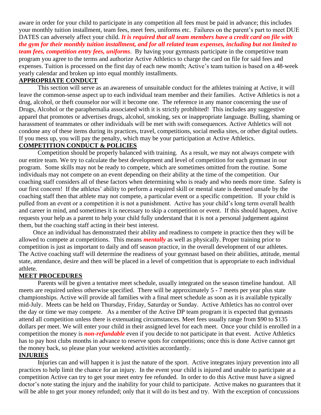aware in order for your child to participate in any competition all fees must be paid in advance; this includes your monthly tuition installment, team fees, meet fees, uniforms etc. Failures on the parent's part to meet DUE DATES can adversely affect your child. *It is required that all team members have a credit card on file with the gym for their monthly tuition installment, and for all related team expenses, including but not limited to team fees, competition entry fees, uniforms*. By having your gymnasts participate in the competitive team program you agree to the terms and authorize Active Athletics to charge the card on file for said fees and expenses. Tuition is processed on the first day of each new month; Active's team tuition is based on a 48-week yearly calendar and broken up into equal monthly installments.

#### **APPROPRIATE CONDUCT**

This section will serve as an awareness of unsuitable conduct for the athletes training at Active, it will leave the common-sense aspect up to each individual team member and their families. Active Athletics is not a drug, alcohol, or theft counselor nor will it become one. The reference in any manor concerning the use of Drugs, Alcohol or the paraphernalia associated with it is strictly prohibited! This includes any suggestive apparel that promotes or advertises drugs, alcohol, smoking, sex or inappropriate language. Bulling, shaming or harassment of teammates or other individuals will be met with swift consequences. Active Athletics will not condone any of these items during its practices, travel, competitions, social media sites, or other digital outlets. If you mess up, you will pay the penalty, which may be your participation at Active Athletics.

#### **COMPETITION CONDUCT & POLICIES**

Competition should be properly balanced with training. As a result, we may not always compete with our entire team. We try to calculate the best development and level of competition for each gymnast in our program. Some skills may not be ready to compete, which are sometimes omitted from the routine. Some individuals may not compete on an event depending on their ability at the time of the competition. Our coaching staff considers all of these factors when determining who is ready and who needs more time. Safety is our first concern! If the athletes' ability to perform a required skill or mental state is deemed unsafe by the coaching staff then that athlete may not compete, a particular event or a specific competition. If your child is pulled from an event or a competition it is not a punishment. Active has your child's long term overall health and career in mind, and sometimes it is necessary to skip a competition or event. If this should happen, Active requests your help as a parent to help your child fully understand that it is not a personal judgement against them, but the coaching staff acting in their best interest.

 Once an individual has demonstrated their ability and readiness to compete in practice then they will be allowed to compete at competitions. This means *mentally* as well as physically. Proper training prior to competition is just as important to daily and off season practice, in the overall development of our athletes. The Active coaching staff will determine the readiness of your gymnast based on their abilities, attitude, mental state, attendance, desire and then will be placed in a level of competition that is appropriate to each individual athlete.

#### **MEET PROCEDURES**

Parents will be given a tentative meet schedule, usually integrated on the season timeline handout. All meets are required unless otherwise specified. There will be approximately 5 - 7 meets per year plus state championships. Active will provide all families with a final meet schedule as soon as it is available typically mid-July. Meets can be held on Thursday, Friday, Saturday or Sunday. Active Athletics has no control over the day or time we may compete. As a member of the Active DP team program it is expected that gymnasts attend all competition unless there is extenuating circumstances. Meet fees usually range from \$90 to \$135 dollars per meet. We will enter your child in their assigned level for each meet. Once your child is enrolled in a competition the money is *non-refundable* even if you decide to not participate in that event. Active Athletics has to pay host clubs months in advance to reserve spots for competitions; once this is done Active cannot get the money back, so please plan your weekend activities accordantly.

#### **INJURIES**

Injuries can and will happen it is just the nature of the sport. Active integrates injury prevention into all practices to help limit the chance for an injury. In the event your child is injured and unable to participate at a competition Active can try to get your meet entry fee refunded. In order to do this Active must have a signed doctor's note stating the injury and the inability for your child to participate. Active makes no guarantees that it will be able to get your money refunded; only that it will do its best and try. With the exception of concussions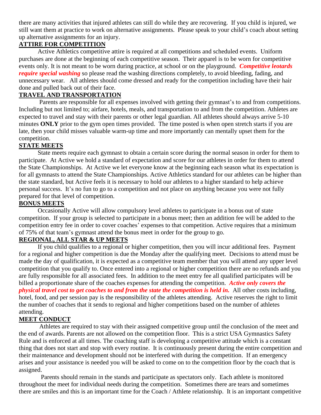there are many activities that injured athletes can still do while they are recovering. If you child is injured, we still want them at practice to work on alternative assignments. Please speak to your child's coach about setting up alternative assignments for an injury.

## **ATTIRE FOR COMPETITION**

 Active Athletics competitive attire is required at all competitions and scheduled events. Uniform purchases are done at the beginning of each competitive season. Their apparel is to be worn for competitive events only. It is not meant to be worn during practice, at school or on the playground. *Competitive leotards require special washing* so please read the washing directions completely, to avoid bleeding, fading, and unnecessary wear. All athletes should come dressed and ready for the competition including have their hair done and pulled back out of their face.

## **TRAVEL AND TRANSPORTATION**

 Parents are responsible for all expenses involved with getting their gymnast's to and from competitions. Including but not limited to; airfare, hotels, meals, and transportation to and from the competition. Athletes are expected to travel and stay with their parents or other legal guardian. All athletes should always arrive 5-10 minutes **ONLY** prior to the gym open times provided. The time posted is when open stretch starts if you are late, then your child misses valuable warm-up time and more importantly can mentally upset them for the competition.

### **STATE MEETS**

State meets require each gymnast to obtain a certain score during the normal season in order for them to participate. At Active we hold a standard of expectation and score for our athletes in order for them to attend the State Championships. At Active we let everyone know at the beginning each season what its expectation is for all gymnasts to attend the State Championships. Active Athletics standard for our athletes can be higher than the state standard, but Active feels it is necessary to hold our athletes to a higher standard to help achieve personal success. It's no fun to go to a competition and not place on anything because you were not fully prepared for that level of competition.

### **BONUS MEETS**

Occasionally Active will allow compulsory level athletes to participate in a bonus out of state competition. If your group is selected to participate in a bonus meet; then an addition fee will be added to the competition entry fee in order to cover coaches' expenses to that competition. Active requires that a minimum of 75% of that team's gymnast attend the bonus meet in order for the group to go.

### **REGIONAL, ALL STAR & UP MEETS**

If you child qualifies to a regional or higher competition, then you will incur additional fees. Payment for a regional and higher competition is due the Monday after the qualifying meet. Decisions to attend must be made the day of qualification, it is expected as a competitive team member that you will attend any upper level competition that you qualify to. Once entered into a regional or higher competition there are no refunds and you are fully responsible for all associated fees. In addition to the meet entry fee all qualified participates will be billed a proportionate share of the coaches expenses for attending the competition. *Active only covers the physical travel cost to get coaches to and from the state the competition is held in.* All other costs including, hotel, food, and per session pay is the responsibility of the athletes attending. Active reserves the right to limit the number of coaches that it sends to regional and higher competitions based on the number of athletes attending.

### **MEET CONDUCT**

 Athletes are required to stay with their assigned competitive group until the conclusion of the meet and the end of awards. Parents are not allowed on the competition floor. This is a strict USA Gymnastics Safety Rule and is enforced at all times. The coaching staff is developing a competitive attitude which is a constant thing that does not start and stop with every routine. It is continuously present during the entire competition and their maintenance and development should not be interfered with during the competition. If an emergency arises and your assistance is needed you will be asked to come on to the competition floor by the coach that is assigned.

 Parents should remain in the stands and participate as spectators only. Each athlete is monitored throughout the meet for individual needs during the competition. Sometimes there are tears and sometimes there are smiles and this is an important time for the Coach / Athlete relationship. It is an important competitive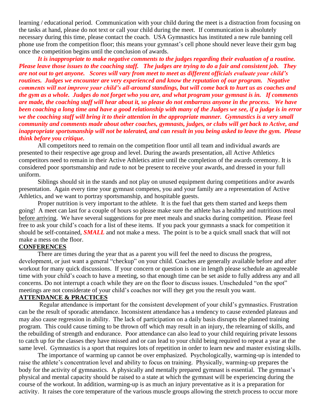learning / educational period. Communication with your child during the meet is a distraction from focusing on the tasks at hand, please do not text or call your child during the meet. If communication is absolutely necessary during this time, please contact the coach. USA Gymnastics has instituted a new rule banning cell phone use from the competition floor; this means your gymnast's cell phone should never leave their gym bag once the competition begins until the conclusion of awards.

 *It is inappropriate to make negative comments to the judges regarding their evaluation of a routine. Please leave those issues to the coaching staff. The judges are trying to do a fair and consistent job. They are not out to get anyone. Scores will vary from meet to meet as different officials evaluate your child's routines. Judges we encounter are very experienced and know the reputation of our program. Negative comments will not improve your child's all-around standings, but will come back to hurt us as coaches and the gym as a whole. Judges do not forget who you are, and what program your gymnast is in. If comments are made, the coaching staff will hear about it, so please do not embarrass anyone in the process. We have been coaching a long time and have a good relationship with many of the Judges we see, if a judge is in error we the coaching staff will bring it to their attention in the appropriate manner. Gymnastics is a very small community and comments made about other coaches, gymnasts, judges, or clubs will get back to Active, and inappropriate sportsmanship will not be tolerated, and can result in you being asked to leave the gym. Please think before you critique.* 

 All competitors need to remain on the competition floor until all team and individual awards are presented to their respective age group and level. During the awards presentation, all Active Athletics competitors need to remain in their Active Athletics attire until the completion of the awards ceremony. It is considered poor sportsmanship and rude to not be present to receive your awards, and dressed in your full uniform.

 Siblings should sit in the stands and not play on unused equipment during competitions and/or awards presentation. Again every time your gymnast competes, you and your family are a representation of Active Athletics, and we want to portray sportsmanship, and hospitable guests.

 Proper nutrition is very important to the athlete. It is the fuel that gets them started and keeps them going! A meet can last for a couple of hours so please make sure the athlete has a healthy and nutritious meal before arriving. We have several suggestions for pre meet meals and snacks during competition. Please feel free to ask your child's coach for a list of these items. If you pack your gymnasts a snack for competition it should be self-contained, *SMALL* and not make a mess. The point is to be a quick small snack that will not make a mess on the floor.

#### **CONFERENCES**

There are times during the year that as a parent you will feel the need to discuss the progress, development, or just want a general "checkup" on your child. Coaches are generally available before and after workout for many quick discussions. If your concern or question is one in length please schedule an agreeable time with your child's coach to have a meeting, so that enough time can be set aside to fully address any and all concerns. Do not interrupt a coach while they are on the floor to discuss issues. Unscheduled "on the spot" meetings are not considerate of your child's coaches nor will they get you the result you want.

#### **ATTENDANCE & PRACTICES**

Regular attendance is important for the consistent development of your child's gymnastics. Frustration can be the result of sporadic attendance. Inconsistent attendance has a tendency to cause extended plateaus and may also cause regression in ability. The lack of participation on a daily basis disrupts the planned training program. This could cause timing to be thrown off which may result in an injury, the relearning of skills, and the rebuilding of strength and endurance. Poor attendance can also lead to your child requiring private lessons to catch up for the classes they have missed and or can lead to your child being required to repeat a year at the same level. Gymnastics is a sport that requires lots of repetition in order to learn new and master existing skills.

 The importance of warming up cannot be over emphasized. Psychologically, warming-up is intended to raise the athlete's concentration level and ability to focus on training. Physically, warming-up prepares the body for the activity of gymnastics. A physically and mentally prepared gymnast is essential. The gymnast's physical and mental capacity should be raised to a state at which the gymnast will be experiencing during the course of the workout. In addition, warming-up is as much an injury preventative as it is a preparation for activity. It raises the core temperature of the various muscle groups allowing the stretch process to occur more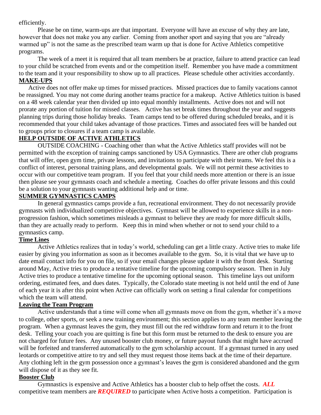efficiently.

Please be on time, warm-ups are that important. Everyone will have an excuse of why they are late, however that does not make you any earlier. Coming from another sport and saying that you are "already warmed up" is not the same as the prescribed team warm up that is done for Active Athletics competitive programs.

The week of a meet it is required that all team members be at practice, failure to attend practice can lead to your child be scratched from events and or the competition itself. Remember you have made a commitment to the team and it your responsibility to show up to all practices. Please schedule other activities accordantly. **MAKE-UPS**

 Active does not offer make up times for missed practices. Missed practices due to family vacations cannot be reassigned. You may not come during another teams practice for a makeup. Active Athletics tuition is based on a 48 week calendar year then divided up into equal monthly installments. Active does not and will not prorate any portion of tuition for missed classes. Active has set break times throughout the year and suggests planning trips during those holiday breaks. Team camps tend to be offered during scheduled breaks, and it is recommended that your child takes advantage of those practices. Times and associated fees will be handed out to groups prior to closures if a team camp is available.

## **HELP OUTSIDE OF ACTIVE ATHLETICS**

OUTSIDE COACHING - Coaching other than what the Active Athletics staff provides will not be permitted with the exception of training camps sanctioned by USA Gymnastics. There are other club programs that will offer, open gym time, private lessons, and invitations to participate with their teams. We feel this is a conflict of interest, personal training plans, and developmental goals. We will not permit these activities to occur with our competitive team program. If you feel that your child needs more attention or there is an issue then please see your gymnasts coach and schedule a meeting. Coaches do offer private lessons and this could be a solution to your gymnasts wanting additional help and or time.

## **SUMMER GYMNASTICS CAMPS**

In general gymnastics camps provide a fun, recreational environment. They do not necessarily provide gymnasts with individualized competitive objectives. Gymnast will be allowed to experience skills in a nonprogression fashion, which sometimes misleads a gymnast to believe they are ready for more difficult skills, than they are actually ready to perform. Keep this in mind when whether or not to send your child to a gymnastics camp.

## **Time Lines**

Active Athletics realizes that in today's world, scheduling can get a little crazy. Active tries to make life easier by giving you information as soon as it becomes available to the gym. So, it is vital that we have up to date email contact info for you on file, so if your email changes please update it with the front desk. Starting around May, Active tries to produce a tentative timeline for the upcoming compulsory season. Then in July Active tries to produce a tentative timeline for the upcoming optional season. This timeline lays out uniform ordering, estimated fees, and dues dates. Typically, the Colorado state meeting is not held until the end of June of each year it is after this point when Active can officially work on setting a final calendar for competitions which the team will attend.

### **Leaving the Team Program**

Active understands that a time will come when all gymnasts move on from the gym, whether it's a move to college, other sports, or seek a new training environment; this section applies to any team member leaving the program. When a gymnast leaves the gym, they must fill out the red withdraw form and return it to the front desk. Telling your coach you are quitting is fine but this form must be returned to the desk to ensure you are not charged for future fees. Any unused booster club money, or future payout funds that might have accrued will be forfeited and transferred automatically to the gym scholarship account. If a gymnast turned in any used leotards or competitive attire to try and sell they must request those items back at the time of their departure. Any clothing left in the gym possession once a gymnast's leaves the gym is considered abandoned and the gym will dispose of it as they see fit.

### **Booster Club**

Gymnastics is expensive and Active Athletics has a booster club to help offset the costs. *ALL* competitive team members are *REQUIRED* to participate when Active hosts a competition. Participation is